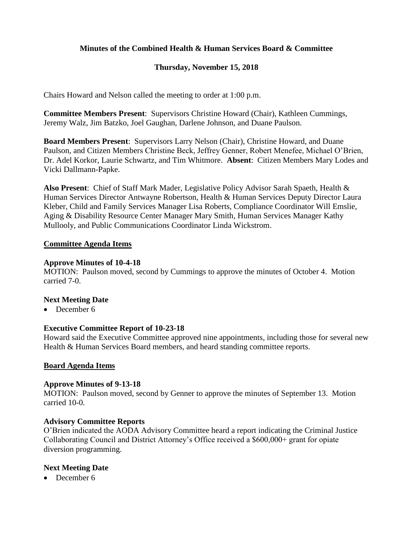# **Minutes of the Combined Health & Human Services Board & Committee**

# **Thursday, November 15, 2018**

Chairs Howard and Nelson called the meeting to order at 1:00 p.m.

**Committee Members Present**: Supervisors Christine Howard (Chair), Kathleen Cummings, Jeremy Walz, Jim Batzko, Joel Gaughan, Darlene Johnson, and Duane Paulson.

**Board Members Present**: Supervisors Larry Nelson (Chair), Christine Howard, and Duane Paulson, and Citizen Members Christine Beck, Jeffrey Genner, Robert Menefee, Michael O'Brien, Dr. Adel Korkor, Laurie Schwartz, and Tim Whitmore. **Absent**: Citizen Members Mary Lodes and Vicki Dallmann-Papke.

**Also Present**: Chief of Staff Mark Mader, Legislative Policy Advisor Sarah Spaeth, Health & Human Services Director Antwayne Robertson, Health & Human Services Deputy Director Laura Kleber, Child and Family Services Manager Lisa Roberts, Compliance Coordinator Will Emslie, Aging & Disability Resource Center Manager Mary Smith, Human Services Manager Kathy Mullooly, and Public Communications Coordinator Linda Wickstrom.

#### **Committee Agenda Items**

#### **Approve Minutes of 10-4-18**

MOTION: Paulson moved, second by Cummings to approve the minutes of October 4. Motion carried 7-0.

### **Next Meeting Date**

• December 6

## **Executive Committee Report of 10-23-18**

Howard said the Executive Committee approved nine appointments, including those for several new Health & Human Services Board members, and heard standing committee reports.

#### **Board Agenda Items**

#### **Approve Minutes of 9-13-18**

MOTION: Paulson moved, second by Genner to approve the minutes of September 13. Motion carried 10-0.

#### **Advisory Committee Reports**

O'Brien indicated the AODA Advisory Committee heard a report indicating the Criminal Justice Collaborating Council and District Attorney's Office received a \$600,000+ grant for opiate diversion programming.

## **Next Meeting Date**

• December 6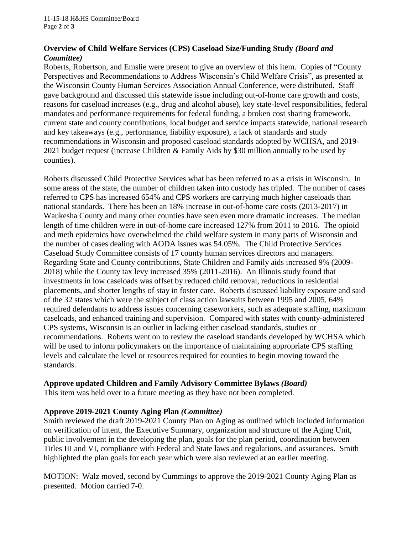### **Overview of Child Welfare Services (CPS) Caseload Size/Funding Study** *(Board and Committee)*

Roberts, Robertson, and Emslie were present to give an overview of this item. Copies of "County Perspectives and Recommendations to Address Wisconsin's Child Welfare Crisis", as presented at the Wisconsin County Human Services Association Annual Conference, were distributed. Staff gave background and discussed this statewide issue including out-of-home care growth and costs, reasons for caseload increases (e.g., drug and alcohol abuse), key state-level responsibilities, federal mandates and performance requirements for federal funding, a broken cost sharing framework, current state and county contributions, local budget and service impacts statewide, national research and key takeaways (e.g., performance, liability exposure), a lack of standards and study recommendations in Wisconsin and proposed caseload standards adopted by WCHSA, and 2019- 2021 budget request (increase Children & Family Aids by \$30 million annually to be used by counties).

Roberts discussed Child Protective Services what has been referred to as a crisis in Wisconsin. In some areas of the state, the number of children taken into custody has tripled. The number of cases referred to CPS has increased 654% and CPS workers are carrying much higher caseloads than national standards. There has been an 18% increase in out-of-home care costs (2013-2017) in Waukesha County and many other counties have seen even more dramatic increases. The median length of time children were in out-of-home care increased 127% from 2011 to 2016. The opioid and meth epidemics have overwhelmed the child welfare system in many parts of Wisconsin and the number of cases dealing with AODA issues was 54.05%. The Child Protective Services Caseload Study Committee consists of 17 county human services directors and managers. Regarding State and County contributions, State Children and Family aids increased 9% (2009- 2018) while the County tax levy increased 35% (2011-2016). An Illinois study found that investments in low caseloads was offset by reduced child removal, reductions in residential placements, and shorter lengths of stay in foster care. Roberts discussed liability exposure and said of the 32 states which were the subject of class action lawsuits between 1995 and 2005, 64% required defendants to address issues concerning caseworkers, such as adequate staffing, maximum caseloads, and enhanced training and supervision. Compared with states with county-administered CPS systems, Wisconsin is an outlier in lacking either caseload standards, studies or recommendations. Roberts went on to review the caseload standards developed by WCHSA which will be used to inform policymakers on the importance of maintaining appropriate CPS staffing levels and calculate the level or resources required for counties to begin moving toward the standards.

## **Approve updated Children and Family Advisory Committee Bylaws** *(Board)*

This item was held over to a future meeting as they have not been completed.

## **Approve 2019-2021 County Aging Plan** *(Committee)*

Smith reviewed the draft 2019-2021 County Plan on Aging as outlined which included information on verification of intent, the Executive Summary, organization and structure of the Aging Unit, public involvement in the developing the plan, goals for the plan period, coordination between Titles III and VI, compliance with Federal and State laws and regulations, and assurances. Smith highlighted the plan goals for each year which were also reviewed at an earlier meeting.

MOTION: Walz moved, second by Cummings to approve the 2019-2021 County Aging Plan as presented. Motion carried 7-0.